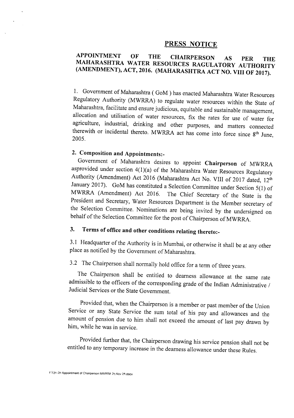#### PRESS NOTICE

### APPOINTMENT OF THE CHAIRPERSON AS PER THE MAHARASHTRA WATER RESOURCES RAGULATORY AUTHORITY (AMENDMENT), ACT, 2016. (MAHARASHTRA ACT NO. VIII OF 2017).

1. Government of Maharashtra ( GoM ) has enacted Maharashtra Water Resources Regulatory Authority (MWRRA) to regulate water resources within the State of Maharashtra, facilitate and ensure judicious, equitable and sustainable management, allocation and utilisation of water resources, fix the rates for use of water for agriculture, industrial, drinking and other purposes, and matters connected therewith or incidental thereto. MWRRA act has come into force since  $8<sup>th</sup>$  June, 2005.

### 2. Composition and Appointments:-

Government of Maharashtra desires to appoint Chairperson of MWRRA asprovided under section 4(1)(a) of the Maharashtra Water Resources Regulatory Authority (Amendment) Act 2016 (Maharashtra Act No. VIII of 2017 dated, 12<sup>th</sup> January 2017). GoM has constituted a Selection Committee under Section 5(1) of MWRRA (Amendment) Act 2016. The Chief Secretary of the State is the President and Secretary, Water Resources Department is the Member secretary of the Selection Committee. Nominations are being invited by the undersigned on behalf of the Selection Committee for the post of Chairperson of MWRRA.

## 3. Terms of office and other conditions relating thereto:-

3.1 Headquarter of the Authority is in Mumbai, or otherwise it shall be at any other place as notified by the Government of Maharashtra.

# 3.2 The Chairperson shall normally hold office for a term of three years.

The Chairperson shall be entitled to dearness allowance at the same rate admissible to the officers of the corresponding grade of the Indian Administrative / Judicial Services or the State Government.

Provided that, when the Chairperson is a member or past member of the Union Service or any State Service the sum total of his pay and allowances and the amount of pension due to him shall not exceed the amount of last pay drawn by him, while he was in service.

Provided further that, the Chairperson drawing his service pension shall not be entitled to any temporary increase in the dearness allowance under these Rules.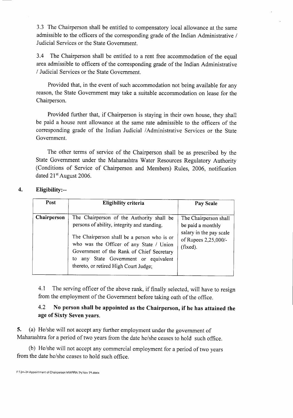3.3 The Chairperson shall be entitled to compensatory local allowance at the same admissible to the officers of the corresponding grade of the Indian Administrative / Judicial Services or the State Government.

3.4 The Chairperson shall be entitled to a rent free accommodation of the equal area admissible to officers of the corresponding grade of the Indian Administrative / Judicial Services or the State Government.

Provided that, in the event of such accommodation not being available for any reason, the State Government may take a suitable accommodation on lease for the Chairperson.

Provided further that, if Chairperson is staying in their own house, they shall be paid a house rent allowance at the same rate admissible to the officers of the corresponding grade of the Indian Judicial/Administrative Services or the State Government.

The other terms of service of the Chairperson shall be as prescribed by the State Government under the Maharashtra Water Resources Regulatory Authority (Conditions of Service of Chairperson and Members) Rules, 2006, notification dated 21<sup>st</sup> August 2006.

### **4. Eligibility:--**

| Post        | Eligibility criteria                                                                                                                                                                                                                                                                                                  | Pay Scale                                                                                                 |
|-------------|-----------------------------------------------------------------------------------------------------------------------------------------------------------------------------------------------------------------------------------------------------------------------------------------------------------------------|-----------------------------------------------------------------------------------------------------------|
| Chairperson | The Chairperson of the Authority shall be<br>persons of ability, integrity and standing.<br>The Chairperson shall be a person who is or<br>who was the Officer of any State / Union<br>Government of the Rank of Chief Secretary<br>any State Government or equivalent<br>to<br>thereto, or retired High Court Judge; | The Chairperson shall<br>be paid a monthly<br>salary in the pay scale<br>of Rupees 2,25,000/-<br>(fixed). |

4.1 The serving officer of the above rank, if finally selected, will have to resign from the employment of the Government before taking oath of the office.

### 4.2 **No person shall be appointed as the Chairperson, if he has attained the age of Sixty Seven years.**

**5.** (a) He/she will not accept any further employment under the government of Maharashtra for a period of two years from the date he/she ceases to hold such office.

(b) He/she will not accept any commercial employment for a period of two years from the date he/she ceases to hold such office.

F:\3o-2o Appointment of Chairperson MWRRA 24 Nov 29.docx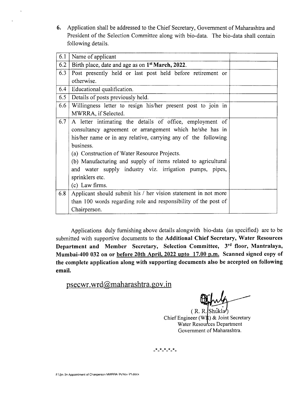6. Application shall be addressed to the Chief Secretary, Government of Maharashtra and President of the Selection Committee along with bio-data, The bio-data shall contain following details.

| 6.1 | Name of applicant                                               |  |
|-----|-----------------------------------------------------------------|--|
| 6.2 | Birth place, date and age as on 1 <sup>st</sup> March, 2022.    |  |
| 6.3 | Post presently held or last post held before retirement or      |  |
|     | otherwise.                                                      |  |
| 6.4 | Educational qualification.                                      |  |
| 6.5 | Details of posts previously held.                               |  |
| 6.6 | Willingness letter to resign his/her present post to join in    |  |
|     | MWRRA, if Selected.                                             |  |
| 6.7 | A letter intimating the details of office, employment of        |  |
|     | consultancy agreement or arrangement which he/she has in        |  |
|     | his/her name or in any relative, carrying any of the following  |  |
|     | business.                                                       |  |
|     | (a) Construction of Water Resource Projects.                    |  |
|     | (b) Manufacturing and supply of items related to agricultural   |  |
|     | and water supply industry viz. irrigation pumps, pipes,         |  |
|     | sprinklers etc.                                                 |  |
|     | (c) Law firms.                                                  |  |
| 6.8 | Applicant should submit his / her vision statement in not more  |  |
|     | than 100 words regarding role and responsibility of the post of |  |
|     | Chairperson.                                                    |  |

Applications duly furnishing above details alongwith bio-data (as specified) are to be submitted with supportive documents to the Additional Chief Secretary, Water Resources Department and Member Secretary, Selection Committee, 3rd floor, Mantralaya, Mumbai-400 032 on or before 20th April, 2022 upto 17.00 p.m. Scanned signed copy of the complete application along with supporting documents also be accepted on following email.

psecwr. wrd@maharashtra.gov.in

 $(R. R. | Shukla')$ Chief Engineer (WR) & Joint Secretary Water Resources Department Government of Maharashtra.

**------** \* \* \* \* \*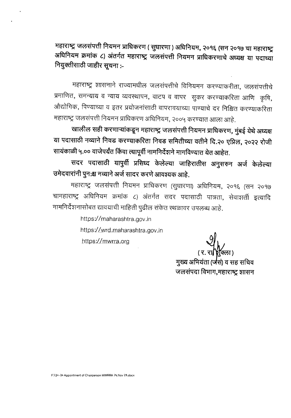महाराष्ट्र जलसंपत्ती नियमन प्राधिकरण ( सुधारणा ) अधिनियम, २०१६ (सन २०१७ चा महाराष्ट्र अधिनियम क्रमांक ८) अंतर्गत महाराष्ट्र जलसंपत्ती नियमन प्राधिकरणाचे अध्यक्ष या पदाच्या नियुक्तीसाठी जाहीर सूचना :-

महाराष्ट्र शासनाने राज्यामधील जलसंपत्तीचे विनियमन करण्याकरीता, जलसंपत्तीचे प्रमाणित, समन्याय व न्याय व्यवस्थापन, वाटप व वापर सुकर करण्याकरिता आणि कृषि, औद्योगिक, पिण्याच्या व इतर प्रयोजनांसाठी वापरावयाच्या पाण्याचे दर निश्चित करण्याकरिता महाराष्ट्र जलसंपत्ती नियमन प्राधिकरण अधिनियम, २००५ करण्यात आला आहे.

खालील सही करणाऱ्यांकडून महाराष्ट्र जलसंपत्ती नियमन प्राधिकरण, मुंबई येथे अध्यक्ष या पदासाठी नव्याने निवड करण्याकरिता निवड समितीच्या वतीने दि.२० एप्रिल, २०२२ रोजी सायंकाळी ५.०० वाजेपर्यंत किंवा त्यापूर्वी नामनिर्देशने मागविण्यात येत आहेत.

सदर पदासाठी यापुर्वी प्रसिध्द केलेल्या जाहिरातीस अनुसरुन अर्ज केलेल्या उमेदवारांनी पुन:श्च नव्याने अर्ज सादर करणे आवश्यक आहे.

महाराष्ट्र जलसंपत्ती नियमन प्राधिकरण (सुधारणा) अधिनियम, २०१६ (सन २०१७ चामहाराष्ट्र अधिनियम क्रमांक ८) अंतर्गत सदर पदासाठी पात्रता, सेवाशर्ती इत्यादि नामनिर्देशनासोबत द्यावयाची माहिती पुढील संकेत स्थळावर उपलब्ध आहे.

> https://maharashtra.gov.in https://wrd.maharashtra.gov.in https://mwrra.org

मुख्य अभियंता (जेसं) व सह सचिव जलसंपदा विभाग, महाराष्ट्र शासन